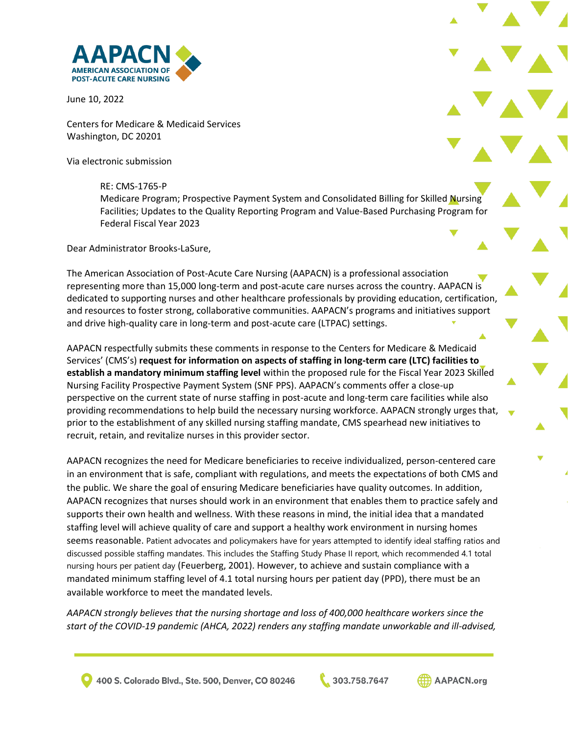

June 10, 2022

Centers for Medicare & Medicaid Services Washington, DC 20201

Via electronic submission

#### RE: CMS-1765-P

Medicare Program; Prospective Payment System and Consolidated Billing for Skilled Nursing Facilities; Updates to the Quality Reporting Program and Value-Based Purchasing Program for Federal Fiscal Year 2023

Dear Administrator Brooks-LaSure,

The American Association of Post-Acute Care Nursing (AAPACN) is a professional association representing more than 15,000 long-term and post-acute care nurses across the country. AAPACN is dedicated to supporting nurses and other healthcare professionals by providing education, certification, and resources to foster strong, collaborative communities. AAPACN's programs and initiatives support and drive high-quality care in long-term and post-acute care (LTPAC) settings.

AAPACN respectfully submits these comments in response to the Centers for Medicare & Medicaid Services' (CMS's) **request for information on aspects of staffing in long-term care (LTC) facilities to establish a mandatory minimum staffing level** within the proposed rule for the Fiscal Year 2023 Skilled Nursing Facility Prospective Payment System (SNF PPS). AAPACN's comments offer a close-up perspective on the current state of nurse staffing in post-acute and long-term care facilities while also providing recommendations to help build the necessary nursing workforce. AAPACN strongly urges that, prior to the establishment of any skilled nursing staffing mandate, CMS spearhead new initiatives to recruit, retain, and revitalize nurses in this provider sector.

AAPACN recognizes the need for Medicare beneficiaries to receive individualized, person-centered care in an environment that is safe, compliant with regulations, and meets the expectations of both CMS and the public. We share the goal of ensuring Medicare beneficiaries have quality outcomes. In addition, AAPACN recognizes that nurses should work in an environment that enables them to practice safely and supports their own health and wellness. With these reasons in mind, the initial idea that a mandated staffing level will achieve quality of care and support a healthy work environment in nursing homes seems reasonable. Patient advocates and policymakers have for years attempted to identify ideal staffing ratios and discussed possible staffing mandates. This includes the Staffing Study Phase II report, which recommended 4.1 total nursing hours per patient day (Feuerberg, 2001). However, to achieve and sustain compliance with a mandated minimum staffing level of 4.1 total nursing hours per patient day (PPD), there must be an available workforce to meet the mandated levels.

*AAPACN strongly believes that the nursing shortage and loss of 400,000 healthcare workers since the start of the COVID-19 pandemic (AHCA, 2022) renders any staffing mandate unworkable and ill-advised,* 

400 S. Colorado Blvd., Ste. 500, Denver, CO 80246

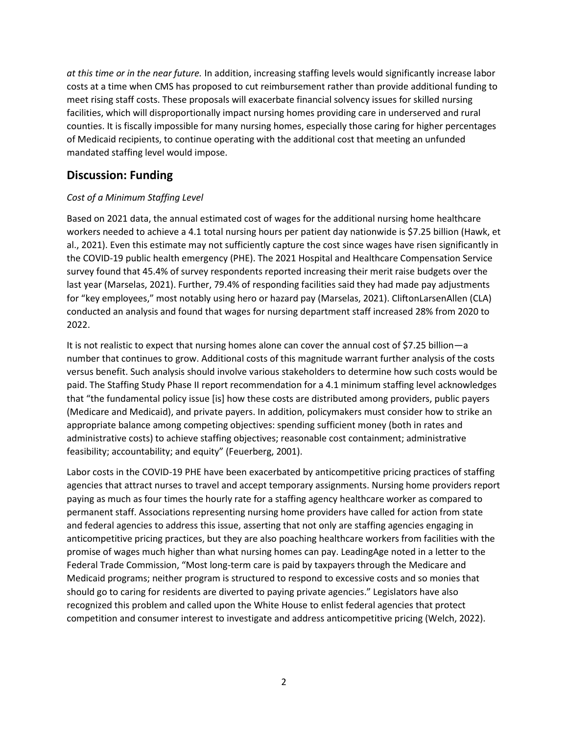*at this time or in the near future.* In addition, increasing staffing levels would significantly increase labor costs at a time when CMS has proposed to cut reimbursement rather than provide additional funding to meet rising staff costs. These proposals will exacerbate financial solvency issues for skilled nursing facilities, which will disproportionally impact nursing homes providing care in underserved and rural counties. It is fiscally impossible for many nursing homes, especially those caring for higher percentages of Medicaid recipients, to continue operating with the additional cost that meeting an unfunded mandated staffing level would impose.

# **Discussion: Funding**

## *Cost of a Minimum Staffing Level*

Based on 2021 data, the annual estimated cost of wages for the additional nursing home healthcare workers needed to achieve a 4.1 total nursing hours per patient day nationwide is \$7.25 billion (Hawk, et al., 2021). Even this estimate may not sufficiently capture the cost since wages have risen significantly in the COVID-19 public health emergency (PHE). The 2021 Hospital and Healthcare Compensation Service survey found that 45.4% of survey respondents reported increasing their merit raise budgets over the last year (Marselas, 2021). Further, 79.4% of responding facilities said they had made pay adjustments for "key employees," most notably using hero or hazard pay (Marselas, 2021). CliftonLarsenAllen (CLA) conducted an analysis and found that wages for nursing department staff increased 28% from 2020 to 2022.

It is not realistic to expect that nursing homes alone can cover the annual cost of \$7.25 billion—a number that continues to grow. Additional costs of this magnitude warrant further analysis of the costs versus benefit. Such analysis should involve various stakeholders to determine how such costs would be paid. The Staffing Study Phase II report recommendation for a 4.1 minimum staffing level acknowledges that "the fundamental policy issue [is] how these costs are distributed among providers, public payers (Medicare and Medicaid), and private payers. In addition, policymakers must consider how to strike an appropriate balance among competing objectives: spending sufficient money (both in rates and administrative costs) to achieve staffing objectives; reasonable cost containment; administrative feasibility; accountability; and equity" (Feuerberg, 2001).

Labor costs in the COVID-19 PHE have been exacerbated by anticompetitive pricing practices of staffing agencies that attract nurses to travel and accept temporary assignments. Nursing home providers report paying as much as four times the hourly rate for a staffing agency healthcare worker as compared to permanent staff. Associations representing nursing home providers have called for action from state and federal agencies to address this issue, asserting that not only are staffing agencies engaging in anticompetitive pricing practices, but they are also poaching healthcare workers from facilities with the promise of wages much higher than what nursing homes can pay. LeadingAge noted in a letter to the Federal Trade Commission, "Most long-term care is paid by taxpayers through the Medicare and Medicaid programs; neither program is structured to respond to excessive costs and so monies that should go to caring for residents are diverted to paying private agencies." Legislators have also recognized this problem and called upon the White House to enlist federal agencies that protect competition and consumer interest to investigate and address anticompetitive pricing (Welch, 2022).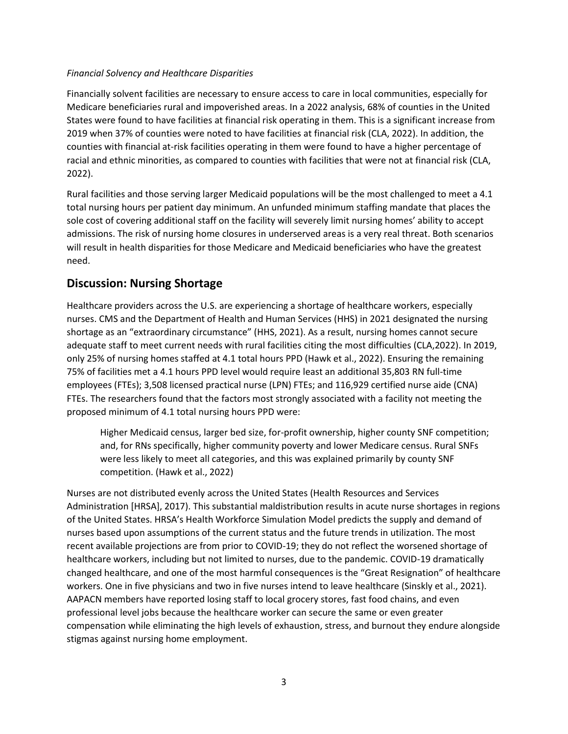#### *Financial Solvency and Healthcare Disparities*

Financially solvent facilities are necessary to ensure access to care in local communities, especially for Medicare beneficiaries rural and impoverished areas. In a 2022 analysis, 68% of counties in the United States were found to have facilities at financial risk operating in them. This is a significant increase from 2019 when 37% of counties were noted to have facilities at financial risk (CLA, 2022). In addition, the counties with financial at-risk facilities operating in them were found to have a higher percentage of racial and ethnic minorities, as compared to counties with facilities that were not at financial risk (CLA, 2022).

Rural facilities and those serving larger Medicaid populations will be the most challenged to meet a 4.1 total nursing hours per patient day minimum. An unfunded minimum staffing mandate that places the sole cost of covering additional staff on the facility will severely limit nursing homes' ability to accept admissions. The risk of nursing home closures in underserved areas is a very real threat. Both scenarios will result in health disparities for those Medicare and Medicaid beneficiaries who have the greatest need.

# **Discussion: Nursing Shortage**

Healthcare providers across the U.S. are experiencing a shortage of healthcare workers, especially nurses. CMS and the Department of Health and Human Services (HHS) in 2021 designated the nursing shortage as an "extraordinary circumstance" (HHS, 2021). As a result, nursing homes cannot secure adequate staff to meet current needs with rural facilities citing the most difficulties (CLA,2022). In 2019, only 25% of nursing homes staffed at 4.1 total hours PPD (Hawk et al., 2022). Ensuring the remaining 75% of facilities met a 4.1 hours PPD level would require least an additional 35,803 RN full-time employees (FTEs); 3,508 licensed practical nurse (LPN) FTEs; and 116,929 certified nurse aide (CNA) FTEs. The researchers found that the factors most strongly associated with a facility not meeting the proposed minimum of 4.1 total nursing hours PPD were:

Higher Medicaid census, larger bed size, for-profit ownership, higher county SNF competition; and, for RNs specifically, higher community poverty and lower Medicare census. Rural SNFs were less likely to meet all categories, and this was explained primarily by county SNF competition. (Hawk et al., 2022)

Nurses are not distributed evenly across the United States (Health Resources and Services Administration [HRSA], 2017). This substantial maldistribution results in acute nurse shortages in regions of the United States. HRSA's Health Workforce Simulation Model predicts the supply and demand of nurses based upon assumptions of the current status and the future trends in utilization. The most recent available projections are from prior to COVID-19; they do not reflect the worsened shortage of healthcare workers, including but not limited to nurses, due to the pandemic. COVID-19 dramatically changed healthcare, and one of the most harmful consequences is the "Great Resignation" of healthcare workers. One in five physicians and two in five nurses intend to leave healthcare (Sinskly et al., 2021). AAPACN members have reported losing staff to local grocery stores, fast food chains, and even professional level jobs because the healthcare worker can secure the same or even greater compensation while eliminating the high levels of exhaustion, stress, and burnout they endure alongside stigmas against nursing home employment.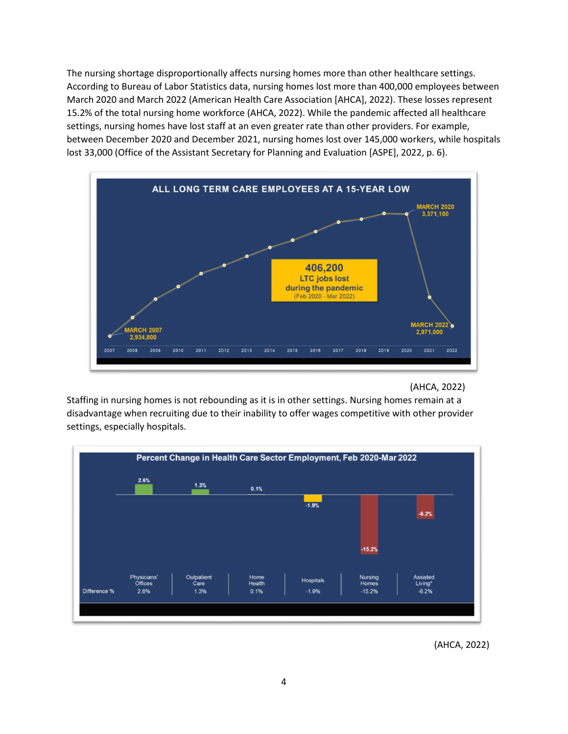The nursing shortage disproportionally affects nursing homes more than other healthcare settings. According to Bureau of Labor Statistics data, nursing homes lost more than 400,000 employees between March 2020 and March 2022 (American Health Care Association [AHCA], 2022). These losses represent 15.2% of the total nursing home workforce (AHCA, 2022). While the pandemic affected all healthcare settings, nursing homes have lost staff at an even greater rate than other providers. For example, between December 2020 and December 2021, nursing homes lost over 145,000 workers, while hospitals lost 33,000 (Office of the Assistant Secretary for Planning and Evaluation [ASPE], 2022, p. 6).



#### (AHCA, 2022)

Staffing in nursing homes is not rebounding as it is in other settings. Nursing homes remain at a disadvantage when recruiting due to their inability to offer wages competitive with other provider settings, especially hospitals.



(AHCA, 2022)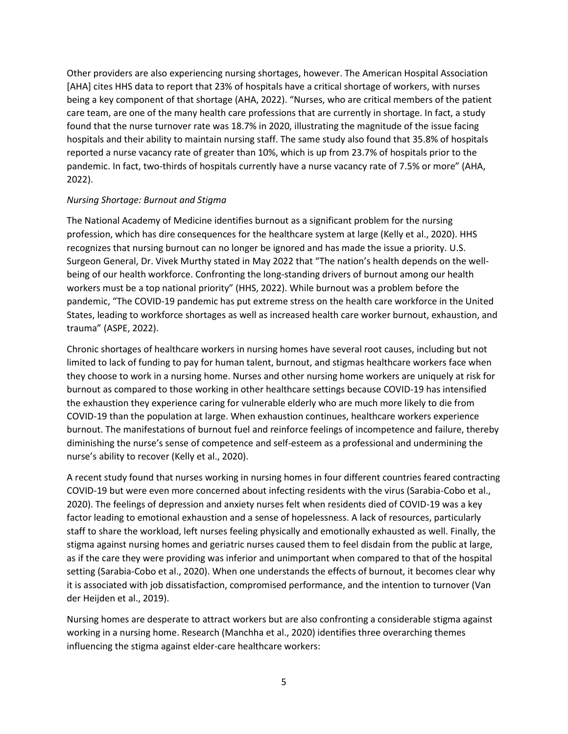Other providers are also experiencing nursing shortages, however. The American Hospital Association [AHA] cites HHS data to report that 23% of hospitals have a critical shortage of workers, with nurses being a key component of that shortage (AHA, 2022). "Nurses, who are critical members of the patient care team, are one of the many health care professions that are currently in shortage. In fact, a study found that the nurse turnover rate was 18.7% in 2020, illustrating the magnitude of the issue facing hospitals and their ability to maintain nursing staff. The same study also found that 35.8% of hospitals reported a nurse vacancy rate of greater than 10%, which is up from 23.7% of hospitals prior to the pandemic. In fact, two-thirds of hospitals currently have a nurse vacancy rate of 7.5% or more" (AHA, 2022).

#### *Nursing Shortage: Burnout and Stigma*

The National Academy of Medicine identifies burnout as a significant problem for the nursing profession, which has dire consequences for the healthcare system at large (Kelly et al., 2020). HHS recognizes that nursing burnout can no longer be ignored and has made the issue a priority. U.S. Surgeon General, Dr. Vivek Murthy stated in May 2022 that "The nation's health depends on the wellbeing of our health workforce. Confronting the long-standing drivers of burnout among our health workers must be a top national priority" (HHS, 2022). While burnout was a problem before the pandemic, "The COVID-19 pandemic has put extreme stress on the health care workforce in the United States, leading to workforce shortages as well as increased health care worker burnout, exhaustion, and trauma" (ASPE, 2022).

Chronic shortages of healthcare workers in nursing homes have several root causes, including but not limited to lack of funding to pay for human talent, burnout, and stigmas healthcare workers face when they choose to work in a nursing home. Nurses and other nursing home workers are uniquely at risk for burnout as compared to those working in other healthcare settings because COVID-19 has intensified the exhaustion they experience caring for vulnerable elderly who are much more likely to die from COVID-19 than the population at large. When exhaustion continues, healthcare workers experience burnout. The manifestations of burnout fuel and reinforce feelings of incompetence and failure, thereby diminishing the nurse's sense of competence and self-esteem as a professional and undermining the nurse's ability to recover (Kelly et al., 2020).

A recent study found that nurses working in nursing homes in four different countries feared contracting COVID-19 but were even more concerned about infecting residents with the virus (Sarabia-Cobo et al., 2020). The feelings of depression and anxiety nurses felt when residents died of COVID-19 was a key factor leading to emotional exhaustion and a sense of hopelessness. A lack of resources, particularly staff to share the workload, left nurses feeling physically and emotionally exhausted as well. Finally, the stigma against nursing homes and geriatric nurses caused them to feel disdain from the public at large, as if the care they were providing was inferior and unimportant when compared to that of the hospital setting (Sarabia-Cobo et al., 2020). When one understands the effects of burnout, it becomes clear why it is associated with job dissatisfaction, compromised performance, and the intention to turnover (Van der Heijden et al., 2019).

Nursing homes are desperate to attract workers but are also confronting a considerable stigma against working in a nursing home. Research (Manchha et al., 2020) identifies three overarching themes influencing the stigma against elder-care healthcare workers: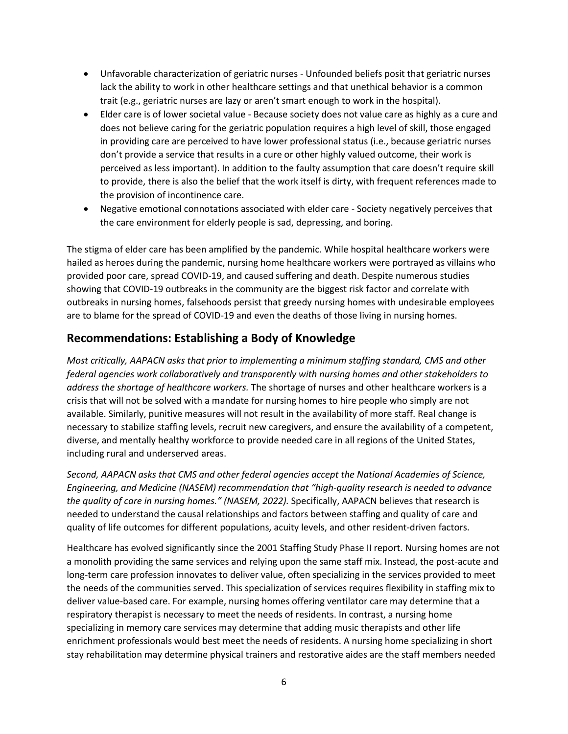- Unfavorable characterization of geriatric nurses Unfounded beliefs posit that geriatric nurses lack the ability to work in other healthcare settings and that unethical behavior is a common trait (e.g., geriatric nurses are lazy or aren't smart enough to work in the hospital).
- Elder care is of lower societal value Because society does not value care as highly as a cure and does not believe caring for the geriatric population requires a high level of skill, those engaged in providing care are perceived to have lower professional status (i.e., because geriatric nurses don't provide a service that results in a cure or other highly valued outcome, their work is perceived as less important). In addition to the faulty assumption that care doesn't require skill to provide, there is also the belief that the work itself is dirty, with frequent references made to the provision of incontinence care.
- Negative emotional connotations associated with elder care Society negatively perceives that the care environment for elderly people is sad, depressing, and boring.

The stigma of elder care has been amplified by the pandemic. While hospital healthcare workers were hailed as heroes during the pandemic, nursing home healthcare workers were portrayed as villains who provided poor care, spread COVID-19, and caused suffering and death. Despite numerous studies showing that COVID-19 outbreaks in the community are the biggest risk factor and correlate with outbreaks in nursing homes, falsehoods persist that greedy nursing homes with undesirable employees are to blame for the spread of COVID-19 and even the deaths of those living in nursing homes.

## **Recommendations: Establishing a Body of Knowledge**

*Most critically, AAPACN asks that prior to implementing a minimum staffing standard, CMS and other federal agencies work collaboratively and transparently with nursing homes and other stakeholders to address the shortage of healthcare workers.* The shortage of nurses and other healthcare workers is a crisis that will not be solved with a mandate for nursing homes to hire people who simply are not available. Similarly, punitive measures will not result in the availability of more staff. Real change is necessary to stabilize staffing levels, recruit new caregivers, and ensure the availability of a competent, diverse, and mentally healthy workforce to provide needed care in all regions of the United States, including rural and underserved areas.

*Second, AAPACN asks that CMS and other federal agencies accept the National Academies of Science, Engineering, and Medicine (NASEM) recommendation that "high-quality research is needed to advance the quality of care in nursing homes." (NASEM, 2022).* Specifically, AAPACN believes that research is needed to understand the causal relationships and factors between staffing and quality of care and quality of life outcomes for different populations, acuity levels, and other resident-driven factors.

Healthcare has evolved significantly since the 2001 Staffing Study Phase II report. Nursing homes are not a monolith providing the same services and relying upon the same staff mix. Instead, the post-acute and long-term care profession innovates to deliver value, often specializing in the services provided to meet the needs of the communities served. This specialization of services requires flexibility in staffing mix to deliver value-based care. For example, nursing homes offering ventilator care may determine that a respiratory therapist is necessary to meet the needs of residents. In contrast, a nursing home specializing in memory care services may determine that adding music therapists and other life enrichment professionals would best meet the needs of residents. A nursing home specializing in short stay rehabilitation may determine physical trainers and restorative aides are the staff members needed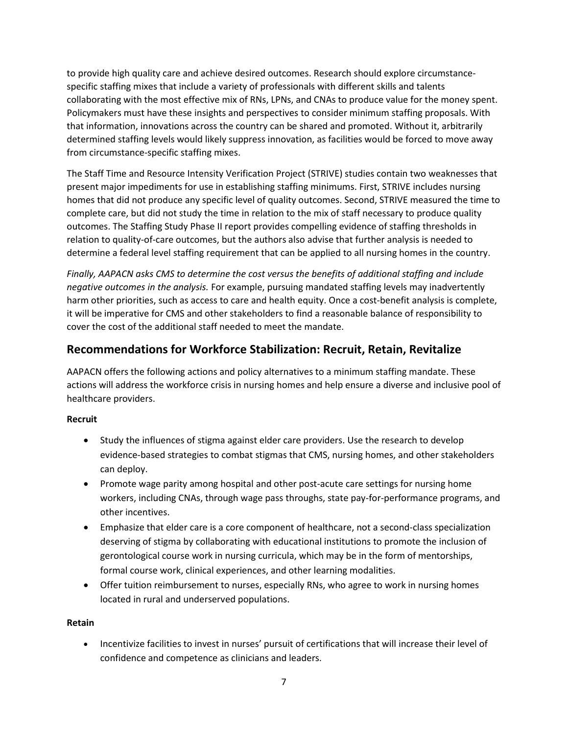to provide high quality care and achieve desired outcomes. Research should explore circumstancespecific staffing mixes that include a variety of professionals with different skills and talents collaborating with the most effective mix of RNs, LPNs, and CNAs to produce value for the money spent. Policymakers must have these insights and perspectives to consider minimum staffing proposals. With that information, innovations across the country can be shared and promoted. Without it, arbitrarily determined staffing levels would likely suppress innovation, as facilities would be forced to move away from circumstance-specific staffing mixes.

The Staff Time and Resource Intensity Verification Project (STRIVE) studies contain two weaknesses that present major impediments for use in establishing staffing minimums. First, STRIVE includes nursing homes that did not produce any specific level of quality outcomes. Second, STRIVE measured the time to complete care, but did not study the time in relation to the mix of staff necessary to produce quality outcomes. The Staffing Study Phase II report provides compelling evidence of staffing thresholds in relation to quality-of-care outcomes, but the authors also advise that further analysis is needed to determine a federal level staffing requirement that can be applied to all nursing homes in the country.

*Finally, AAPACN asks CMS to determine the cost versus the benefits of additional staffing and include negative outcomes in the analysis.* For example, pursuing mandated staffing levels may inadvertently harm other priorities, such as access to care and health equity. Once a cost-benefit analysis is complete, it will be imperative for CMS and other stakeholders to find a reasonable balance of responsibility to cover the cost of the additional staff needed to meet the mandate.

## **Recommendations for Workforce Stabilization: Recruit, Retain, Revitalize**

AAPACN offers the following actions and policy alternatives to a minimum staffing mandate. These actions will address the workforce crisis in nursing homes and help ensure a diverse and inclusive pool of healthcare providers.

## **Recruit**

- Study the influences of stigma against elder care providers. Use the research to develop evidence-based strategies to combat stigmas that CMS, nursing homes, and other stakeholders can deploy.
- Promote wage parity among hospital and other post-acute care settings for nursing home workers, including CNAs, through wage pass throughs, state pay-for-performance programs, and other incentives.
- Emphasize that elder care is a core component of healthcare, not a second-class specialization deserving of stigma by collaborating with educational institutions to promote the inclusion of gerontological course work in nursing curricula, which may be in the form of mentorships, formal course work, clinical experiences, and other learning modalities.
- Offer tuition reimbursement to nurses, especially RNs, who agree to work in nursing homes located in rural and underserved populations.

## **Retain**

• Incentivize facilities to invest in nurses' pursuit of certifications that will increase their level of confidence and competence as clinicians and leaders.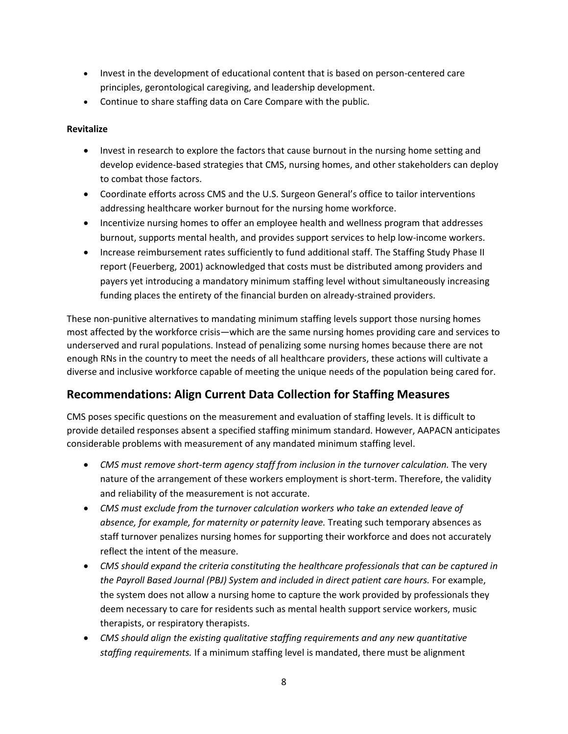- Invest in the development of educational content that is based on person-centered care principles, gerontological caregiving, and leadership development.
- Continue to share staffing data on Care Compare with the public.

### **Revitalize**

- Invest in research to explore the factors that cause burnout in the nursing home setting and develop evidence-based strategies that CMS, nursing homes, and other stakeholders can deploy to combat those factors.
- Coordinate efforts across CMS and the U.S. Surgeon General's office to tailor interventions addressing healthcare worker burnout for the nursing home workforce.
- Incentivize nursing homes to offer an employee health and wellness program that addresses burnout, supports mental health, and provides support services to help low-income workers.
- Increase reimbursement rates sufficiently to fund additional staff. The Staffing Study Phase II report (Feuerberg, 2001) acknowledged that costs must be distributed among providers and payers yet introducing a mandatory minimum staffing level without simultaneously increasing funding places the entirety of the financial burden on already-strained providers.

These non-punitive alternatives to mandating minimum staffing levels support those nursing homes most affected by the workforce crisis—which are the same nursing homes providing care and services to underserved and rural populations. Instead of penalizing some nursing homes because there are not enough RNs in the country to meet the needs of all healthcare providers, these actions will cultivate a diverse and inclusive workforce capable of meeting the unique needs of the population being cared for.

## **Recommendations: Align Current Data Collection for Staffing Measures**

CMS poses specific questions on the measurement and evaluation of staffing levels. It is difficult to provide detailed responses absent a specified staffing minimum standard. However, AAPACN anticipates considerable problems with measurement of any mandated minimum staffing level.

- *CMS must remove short-term agency staff from inclusion in the turnover calculation.* The very nature of the arrangement of these workers employment is short-term. Therefore, the validity and reliability of the measurement is not accurate.
- *CMS must exclude from the turnover calculation workers who take an extended leave of absence, for example, for maternity or paternity leave.* Treating such temporary absences as staff turnover penalizes nursing homes for supporting their workforce and does not accurately reflect the intent of the measure.
- *CMS should expand the criteria constituting the healthcare professionals that can be captured in the Payroll Based Journal (PBJ) System and included in direct patient care hours.* For example, the system does not allow a nursing home to capture the work provided by professionals they deem necessary to care for residents such as mental health support service workers, music therapists, or respiratory therapists.
- *CMS should align the existing qualitative staffing requirements and any new quantitative staffing requirements.* If a minimum staffing level is mandated, there must be alignment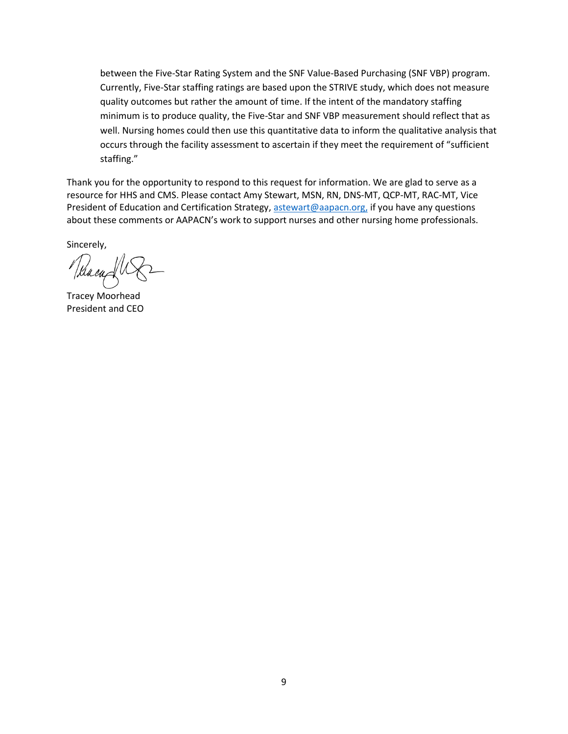between the Five-Star Rating System and the SNF Value-Based Purchasing (SNF VBP) program. Currently, Five-Star staffing ratings are based upon the STRIVE study, which does not measure quality outcomes but rather the amount of time. If the intent of the mandatory staffing minimum is to produce quality, the Five-Star and SNF VBP measurement should reflect that as well. Nursing homes could then use this quantitative data to inform the qualitative analysis that occurs through the facility assessment to ascertain if they meet the requirement of "sufficient staffing."

Thank you for the opportunity to respond to this request for information. We are glad to serve as a resource for HHS and CMS. Please contact Amy Stewart, MSN, RN, DNS-MT, QCP-MT, RAC-MT, Vice President of Education and Certification Strategy, [astewart@aapacn.org,](mailto:astewart@aapacn.org) if you have any questions about these comments or AAPACN's work to support nurses and other nursing home professionals.

Sincerely,

Neacup

Tracey Moorhead President and CEO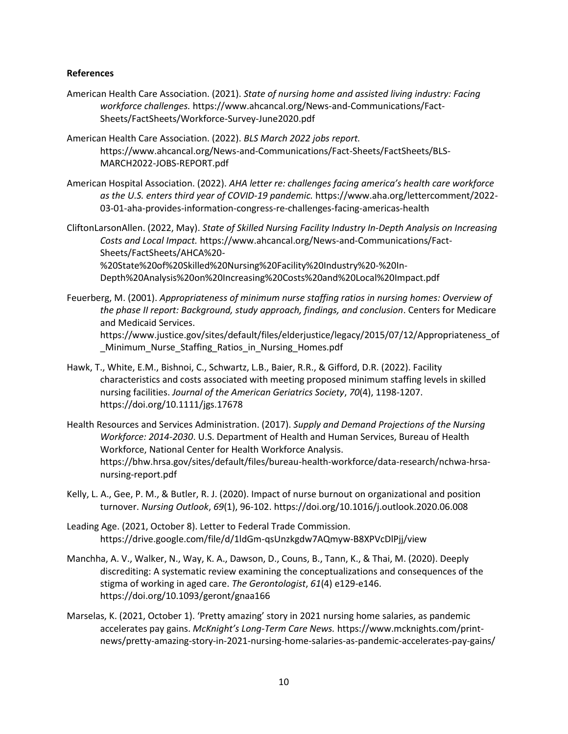#### **References**

- American Health Care Association. (2021). *State of nursing home and assisted living industry: Facing workforce challenges.* https://www.ahcancal.org/News-and-Communications/Fact-Sheets/FactSheets/Workforce-Survey-June2020.pdf
- American Health Care Association. (2022). *BLS March 2022 jobs report.* https://www.ahcancal.org/News-and-Communications/Fact-Sheets/FactSheets/BLS-MARCH2022-JOBS-REPORT.pdf
- American Hospital Association. (2022). *AHA letter re: challenges facing america's health care workforce as the U.S. enters third year of COVID-19 pandemic.* https://www.aha.org/lettercomment/2022- 03-01-aha-provides-information-congress-re-challenges-facing-americas-health
- CliftonLarsonAllen. (2022, May). *State of Skilled Nursing Facility Industry In-Depth Analysis on Increasing Costs and Local Impact.* https://www.ahcancal.org/News-and-Communications/Fact-Sheets/FactSheets/AHCA%20- %20State%20of%20Skilled%20Nursing%20Facility%20Industry%20-%20In-Depth%20Analysis%20on%20Increasing%20Costs%20and%20Local%20Impact.pdf
- Feuerberg, M. (2001). *Appropriateness of minimum nurse staffing ratios in nursing homes: Overview of the phase II report: Background, study approach, findings, and conclusion*. Centers for Medicare and Medicaid Services. https://www.justice.gov/sites/default/files/elderjustice/legacy/2015/07/12/Appropriateness\_of
	- \_Minimum\_Nurse\_Staffing\_Ratios\_in\_Nursing\_Homes.pdf
- Hawk, T., White, E.M., Bishnoi, C., Schwartz, L.B., Baier, R.R., & Gifford, D.R. (2022). Facility characteristics and costs associated with meeting proposed minimum staffing levels in skilled nursing facilities. *Journal of the American Geriatrics Society*, *70*(4), 1198-1207. https://doi.org/10.1111/jgs.17678
- Health Resources and Services Administration. (2017). *Supply and Demand Projections of the Nursing Workforce: 2014-2030*. U.S. Department of Health and Human Services, Bureau of Health Workforce, National Center for Health Workforce Analysis. https://bhw.hrsa.gov/sites/default/files/bureau-health-workforce/data-research/nchwa-hrsanursing-report.pdf
- Kelly, L. A., Gee, P. M., & Butler, R. J. (2020). Impact of nurse burnout on organizational and position turnover. *Nursing Outlook*, *69*(1), 96-102. https://doi.org/10.1016/j.outlook.2020.06.008
- Leading Age. (2021, October 8). Letter to Federal Trade Commission. https://drive.google.com/file/d/1ldGm-qsUnzkgdw7AQmyw-B8XPVcDlPjj/view
- Manchha, A. V., Walker, N., Way, K. A., Dawson, D., Couns, B., Tann, K., & Thai, M. (2020). Deeply discrediting: A systematic review examining the conceptualizations and consequences of the stigma of working in aged care. *The Gerontologist*, *61*(4) e129-e146. https://doi.org/10.1093/geront/gnaa166
- Marselas, K. (2021, October 1). 'Pretty amazing' story in 2021 nursing home salaries, as pandemic accelerates pay gains. *McKnight's Long-Term Care News.* https://www.mcknights.com/printnews/pretty-amazing-story-in-2021-nursing-home-salaries-as-pandemic-accelerates-pay-gains/